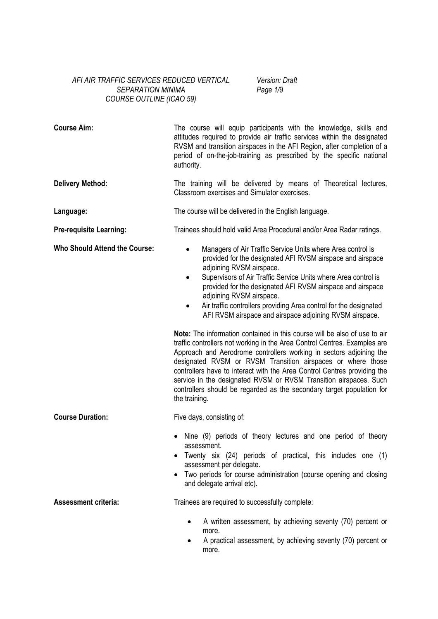### *AFI AIR TRAFFIC SERVICES REDUCED VERTICAL SEPARATION MINIMA COURSE OUTLINE (ICAO 59)*

*Version: Draft Page 1/*9

| <b>Course Aim:</b>                   | The course will equip participants with the knowledge, skills and<br>attitudes required to provide air traffic services within the designated<br>RVSM and transition airspaces in the AFI Region, after completion of a<br>period of on-the-job-training as prescribed by the specific national<br>authority.                                                                                                                                                                                                                                                                                                                                                                                                                                                                                                                                                                                                                                                                                                          |
|--------------------------------------|------------------------------------------------------------------------------------------------------------------------------------------------------------------------------------------------------------------------------------------------------------------------------------------------------------------------------------------------------------------------------------------------------------------------------------------------------------------------------------------------------------------------------------------------------------------------------------------------------------------------------------------------------------------------------------------------------------------------------------------------------------------------------------------------------------------------------------------------------------------------------------------------------------------------------------------------------------------------------------------------------------------------|
| <b>Delivery Method:</b>              | The training will be delivered by means of Theoretical lectures,<br>Classroom exercises and Simulator exercises.                                                                                                                                                                                                                                                                                                                                                                                                                                                                                                                                                                                                                                                                                                                                                                                                                                                                                                       |
| Language:                            | The course will be delivered in the English language.                                                                                                                                                                                                                                                                                                                                                                                                                                                                                                                                                                                                                                                                                                                                                                                                                                                                                                                                                                  |
| <b>Pre-requisite Learning:</b>       | Trainees should hold valid Area Procedural and/or Area Radar ratings.                                                                                                                                                                                                                                                                                                                                                                                                                                                                                                                                                                                                                                                                                                                                                                                                                                                                                                                                                  |
| <b>Who Should Attend the Course:</b> | Managers of Air Traffic Service Units where Area control is<br>$\bullet$<br>provided for the designated AFI RVSM airspace and airspace<br>adjoining RVSM airspace.<br>Supervisors of Air Traffic Service Units where Area control is<br>provided for the designated AFI RVSM airspace and airspace<br>adjoining RVSM airspace.<br>Air traffic controllers providing Area control for the designated<br>$\bullet$<br>AFI RVSM airspace and airspace adjoining RVSM airspace.<br>Note: The information contained in this course will be also of use to air<br>traffic controllers not working in the Area Control Centres. Examples are<br>Approach and Aerodrome controllers working in sectors adjoining the<br>designated RVSM or RVSM Transition airspaces or where those<br>controllers have to interact with the Area Control Centres providing the<br>service in the designated RVSM or RVSM Transition airspaces. Such<br>controllers should be regarded as the secondary target population for<br>the training. |
| <b>Course Duration:</b>              | Five days, consisting of:                                                                                                                                                                                                                                                                                                                                                                                                                                                                                                                                                                                                                                                                                                                                                                                                                                                                                                                                                                                              |
|                                      | Nine (9) periods of theory lectures and one period of theory<br>assessment.<br>Twenty six (24) periods of practical, this includes one (1)<br>assessment per delegate.<br>Two periods for course administration (course opening and closing<br>and delegate arrival etc).                                                                                                                                                                                                                                                                                                                                                                                                                                                                                                                                                                                                                                                                                                                                              |
| <b>Assessment criteria:</b>          | Trainees are required to successfully complete:                                                                                                                                                                                                                                                                                                                                                                                                                                                                                                                                                                                                                                                                                                                                                                                                                                                                                                                                                                        |
|                                      | A written assessment, by achieving seventy (70) percent or<br>٠<br>more.<br>A practical assessment, by achieving seventy (70) percent or<br>more.                                                                                                                                                                                                                                                                                                                                                                                                                                                                                                                                                                                                                                                                                                                                                                                                                                                                      |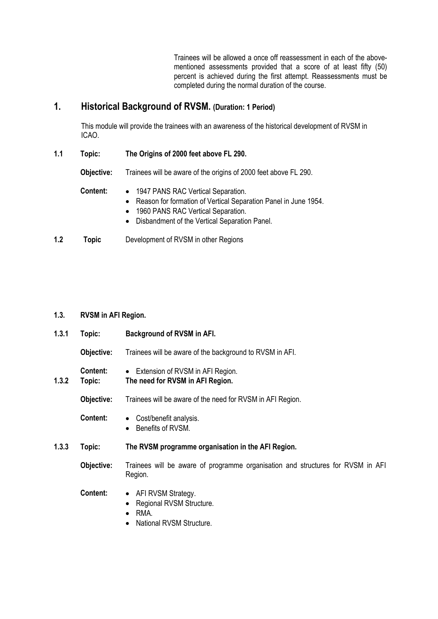Trainees will be allowed a once off reassessment in each of the abovementioned assessments provided that a score of at least fifty (50) percent is achieved during the first attempt. Reassessments must be completed during the normal duration of the course.

# **1. Historical Background of RVSM. (Duration: 1 Period)**

This module will provide the trainees with an awareness of the historical development of RVSM in ICAO.

**1.1 Topic: The Origins of 2000 feet above FL 290.** 

 **Objective:** Trainees will be aware of the origins of 2000 feet above FL 290.

- **Content:**  1947 PANS RAC Vertical Separation.
	- Reason for formation of Vertical Separation Panel in June 1954.
	- 1960 PANS RAC Vertical Separation.
	- Disbandment of the Vertical Separation Panel.
- **1.2 Topic** Development of RVSM in other Regions

#### **1.3. RVSM in AFI Region.**

| 1.3.1 | Topic:             | Background of RVSM in AFI.                                                                             |
|-------|--------------------|--------------------------------------------------------------------------------------------------------|
|       | Objective:         | Trainees will be aware of the background to RVSM in AFI.                                               |
| 1.3.2 | Content:<br>Topic: | Extension of RVSM in AFI Region.<br>$\bullet$<br>The need for RVSM in AFI Region.                      |
|       | Objective:         | Trainees will be aware of the need for RVSM in AFI Region.                                             |
|       | Content:           | Cost/benefit analysis.<br>$\bullet$<br>Benefits of RVSM.                                               |
| 1.3.3 | Topic:             | The RVSM programme organisation in the AFI Region.                                                     |
|       | Objective:         | Trainees will be aware of programme organisation and structures for RVSM in AFI<br>Region.             |
|       | Content:           | • AFI RVSM Strategy.<br>Regional RVSM Structure.<br>٠<br>RMA.<br>$\bullet$<br>National RVSM Structure. |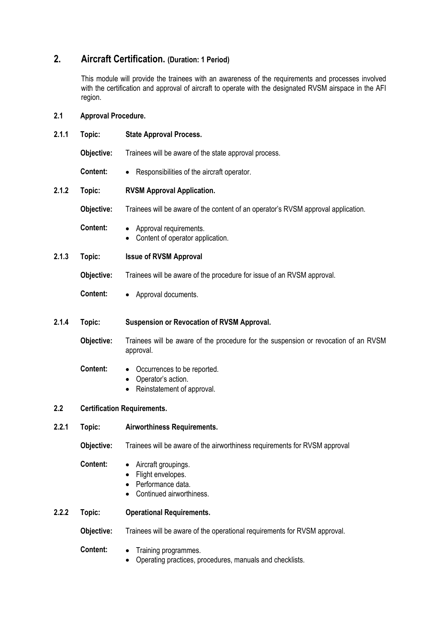# **2. Aircraft Certification. (Duration: 1 Period)**

This module will provide the trainees with an awareness of the requirements and processes involved with the certification and approval of aircraft to operate with the designated RVSM airspace in the AFI region.

## **2.1 Approval Procedure.**

| 2.1.1 | Topic:                             | <b>State Approval Process.</b>                                                                   |
|-------|------------------------------------|--------------------------------------------------------------------------------------------------|
|       | Objective:                         | Trainees will be aware of the state approval process.                                            |
|       | <b>Content:</b>                    | Responsibilities of the aircraft operator.                                                       |
| 2.1.2 | Topic:                             | <b>RVSM Approval Application.</b>                                                                |
|       | Objective:                         | Trainees will be aware of the content of an operator's RVSM approval application.                |
|       | <b>Content:</b>                    | Approval requirements.<br>Content of operator application.                                       |
| 2.1.3 | Topic:                             | <b>Issue of RVSM Approval</b>                                                                    |
|       | Objective:                         | Trainees will be aware of the procedure for issue of an RVSM approval.                           |
|       | <b>Content:</b>                    | Approval documents.                                                                              |
| 2.1.4 | Topic:                             | Suspension or Revocation of RVSM Approval.                                                       |
|       | Objective:                         | Trainees will be aware of the procedure for the suspension or revocation of an RVSM<br>approval. |
|       | <b>Content:</b>                    | Occurrences to be reported.<br>Operator's action.<br>Reinstatement of approval.                  |
| 2.2   | <b>Certification Requirements.</b> |                                                                                                  |
| 2.2.1 | Topic:                             | Airworthiness Requirements.                                                                      |
|       | Objective:                         | Trainees will be aware of the airworthiness requirements for RVSM approval                       |
|       | Content:                           | Aircraft groupings.<br>Flight envelopes.<br>Performance data.<br>Continued airworthiness.        |
| 2.2.2 | Topic:                             | <b>Operational Requirements.</b>                                                                 |
|       | Objective:                         | Trainees will be aware of the operational requirements for RVSM approval.                        |
|       | Content:                           | Training programmes.<br>Operating practices, procedures, manuals and checklists.                 |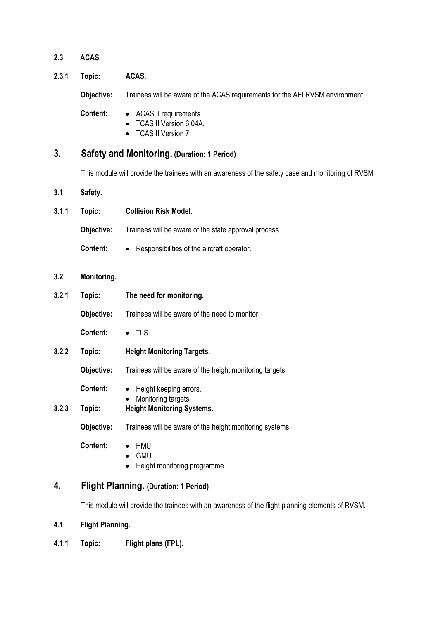- **2.3 ACAS.**
- **2.3.1 Topic: ACAS.**

 **Objective:** Trainees will be aware of the ACAS requirements for the AFI RVSM environment.

 **Content:** • ACAS II requirements.

- TCAS II Version 6.04A.
- TCAS II Version 7.

### **3. Safety and Monitoring. (Duration: 1 Period)**

This module will provide the trainees with an awareness of the safety case and monitoring of RVSM

- **3.1 Safety.**
- **3.1.1 Topic: Collision Risk Model. Objective:** Trainees will be aware of the state approval process. **Content:** • Responsibilities of the aircraft operator.
- **3.2 Monitoring.**
- **3.2.1 Topic: The need for monitoring. Objective:** Trainees will be aware of the need to monitor.

 **Content:** • TLS

**3.2.2 Topic: Height Monitoring Targets.** 

**Objective:** Trainees will be aware of the height monitoring targets.

- **Content:** Height keeping errors.
- Monitoring targets.
- **3.2.3 Topic: Height Monitoring Systems.**

**Objective:** Trainees will be aware of the height monitoring systems.

- **Content:**  HMU.
	- GMU.
	- Height monitoring programme.

## **4. Flight Planning. (Duration: 1 Period)**

This module will provide the trainees with an awareness of the flight planning elements of RVSM.

- **4.1 Flight Planning.**
- **4.1.1 Topic: Flight plans (FPL).**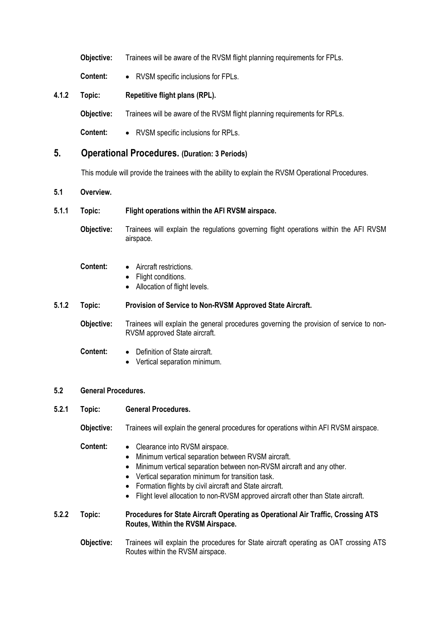|       | Objective: | Trainees will be aware of the RVSM flight planning requirements for FPLs. |
|-------|------------|---------------------------------------------------------------------------|
|       | Content:   | • RVSM specific inclusions for FPLs.                                      |
| 4.1.2 | Topic:     | Repetitive flight plans (RPL).                                            |
|       | Objective: | Trainees will be aware of the RVSM flight planning requirements for RPLs. |

 **Content:** • RVSM specific inclusions for RPLs.

### **5. Operational Procedures. (Duration: 3 Periods)**

This module will provide the trainees with the ability to explain the RVSM Operational Procedures.

#### **5.1 Overview.**

### **5.1.1 Topic: Flight operations within the AFI RVSM airspace.**

 **Objective:** Trainees will explain the regulations governing flight operations within the AFI RVSM airspace.

- **Content:**  Aircraft restrictions.
	- Flight conditions.
	- Allocation of flight levels.

### **5.1.2 Topic: Provision of Service to Non-RVSM Approved State Aircraft.**

**Objective:** Trainees will explain the general procedures governing the provision of service to non-RVSM approved State aircraft.

#### **Content:** • Definition of State aircraft.

• Vertical separation minimum.

#### **5.2 General Procedures.**

### **5.2.1 Topic: General Procedures.**

 **Objective:** Trainees will explain the general procedures for operations within AFI RVSM airspace.

### **Content:** • Clearance into RVSM airspace.

- Minimum vertical separation between RVSM aircraft.
- Minimum vertical separation between non-RVSM aircraft and any other.
- Vertical separation minimum for transition task.
- Formation flights by civil aircraft and State aircraft.
- Flight level allocation to non-RVSM approved aircraft other than State aircraft.

#### **5.2.2 Topic: Procedures for State Aircraft Operating as Operational Air Traffic, Crossing ATS Routes, Within the RVSM Airspace.**

**Objective:** Trainees will explain the procedures for State aircraft operating as OAT crossing ATS Routes within the RVSM airspace.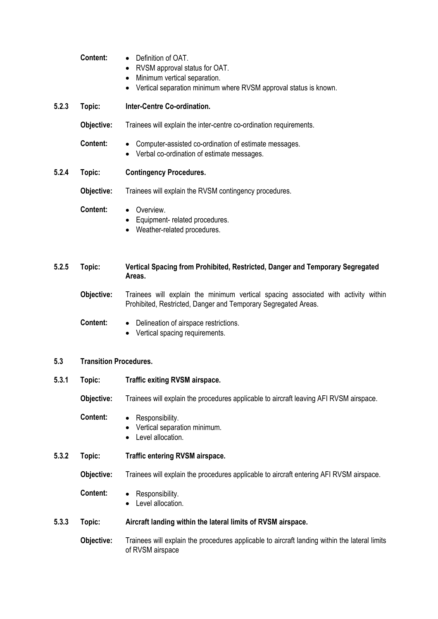|       | <b>Content:</b>               | Definition of OAT.<br>RVSM approval status for OAT.<br>$\bullet$<br>Minimum vertical separation.<br>$\bullet$<br>Vertical separation minimum where RVSM approval status is known.<br>٠ |
|-------|-------------------------------|----------------------------------------------------------------------------------------------------------------------------------------------------------------------------------------|
| 5.2.3 | Topic:                        | Inter-Centre Co-ordination.                                                                                                                                                            |
|       | Objective:                    | Trainees will explain the inter-centre co-ordination requirements.                                                                                                                     |
|       | <b>Content:</b>               | Computer-assisted co-ordination of estimate messages.<br>Verbal co-ordination of estimate messages.                                                                                    |
| 5.2.4 | Topic:                        | <b>Contingency Procedures.</b>                                                                                                                                                         |
|       | Objective:                    | Trainees will explain the RVSM contingency procedures.                                                                                                                                 |
|       | Content:                      | Overview.<br>$\bullet$<br>Equipment- related procedures.<br>Weather-related procedures.                                                                                                |
| 5.2.5 | Topic:                        | Vertical Spacing from Prohibited, Restricted, Danger and Temporary Segregated<br>Areas.                                                                                                |
|       | Objective:                    | Trainees will explain the minimum vertical spacing associated with activity within<br>Prohibited, Restricted, Danger and Temporary Segregated Areas.                                   |
|       | <b>Content:</b>               | Delineation of airspace restrictions.<br>$\bullet$<br>Vertical spacing requirements.                                                                                                   |
| 5.3   | <b>Transition Procedures.</b> |                                                                                                                                                                                        |
| 5.3.1 | Topic:                        | <b>Traffic exiting RVSM airspace.</b>                                                                                                                                                  |
|       | Objective:                    | Trainees will explain the procedures applicable to aircraft leaving AFI RVSM airspace.                                                                                                 |
|       | <b>Content:</b>               | Responsibility.<br>Vertical separation minimum.<br>Level allocation.                                                                                                                   |
| 5.3.2 | Topic:                        | <b>Traffic entering RVSM airspace.</b>                                                                                                                                                 |
|       | Objective:                    | Trainees will explain the procedures applicable to aircraft entering AFI RVSM airspace.                                                                                                |
|       | Content:                      | Responsibility.<br>Level allocation.<br>٠                                                                                                                                              |
| 5.3.3 | Topic:                        | Aircraft landing within the lateral limits of RVSM airspace.                                                                                                                           |
|       | Objective:                    | Trainees will explain the procedures applicable to aircraft landing within the lateral limits<br>of RVSM airspace                                                                      |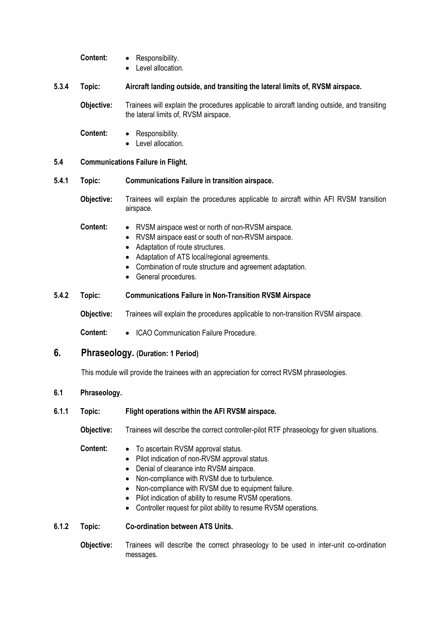**Content:** • Responsibility.

• Level allocation.

#### **5.3.4 Topic: Aircraft landing outside, and transiting the lateral limits of, RVSM airspace.**

 **Objective:** Trainees will explain the procedures applicable to aircraft landing outside, and transiting the lateral limits of, RVSM airspace.

- **Content:**  Responsibility.
	- Level allocation.

#### **5.4 Communications Failure in Flight.**

#### **5.4.1 Topic: Communications Failure in transition airspace.**

- **Objective:** Trainees will explain the procedures applicable to aircraft within AFI RVSM transition airspace.
- **Content:**  RVSM airspace west or north of non-RVSM airspace.
	- RVSM airspace east or south of non-RVSM airspace.
	- Adaptation of route structures.
	- Adaptation of ATS local/regional agreements.
	- Combination of route structure and agreement adaptation.
	- General procedures.

#### **5.4.2 Topic: Communications Failure in Non-Transition RVSM Airspace**

 **Objective:** Trainees will explain the procedures applicable to non-transition RVSM airspace.

 **Content:** • ICAO Communication Failure Procedure.

# **6. Phraseology. (Duration: 1 Period)**

This module will provide the trainees with an appreciation for correct RVSM phraseologies.

#### **6.1 Phraseology.**

#### **6.1.1 Topic: Flight operations within the AFI RVSM airspace.**

**Objective:** Trainees will describe the correct controller-pilot RTF phraseology for given situations.

### **Content:** • To ascertain RVSM approval status.

- Pilot indication of non-RVSM approval status.
- Denial of clearance into RVSM airspace.
- Non-compliance with RVSM due to turbulence.
- Non-compliance with RVSM due to equipment failure.
- Pilot indication of ability to resume RVSM operations.
- Controller request for pilot ability to resume RVSM operations.

#### **6.1.2 Topic: Co-ordination between ATS Units.**

 **Objective:** Trainees will describe the correct phraseology to be used in inter-unit co-ordination messages.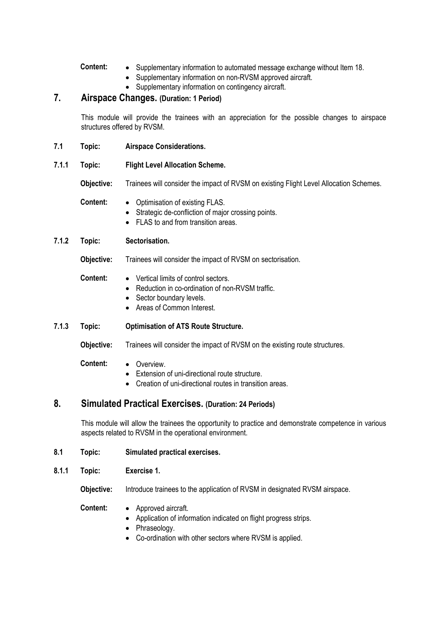- **Content:** Supplementary information to automated message exchange without Item 18.
	- Supplementary information on non-RVSM approved aircraft.
	- Supplementary information on contingency aircraft.

# **7. Airspace Changes. (Duration: 1 Period)**

This module will provide the trainees with an appreciation for the possible changes to airspace structures offered by RVSM.

- **7.1 Topic: Airspace Considerations.**
- **7.1.1 Topic: Flight Level Allocation Scheme.**

 **Objective:** Trainees will consider the impact of RVSM on existing Flight Level Allocation Schemes.

- **Content:**  Optimisation of existing FLAS.
	- Strategic de-confliction of major crossing points.
	- FLAS to and from transition areas.

### **7.1.2 Topic: Sectorisation.**

**Objective:** Trainees will consider the impact of RVSM on sectorisation.

#### **Content:** • Vertical limits of control sectors.

- Reduction in co-ordination of non-RVSM traffic.
- Sector boundary levels.
- Areas of Common Interest.

### **7.1.3 Topic: Optimisation of ATS Route Structure.**

**Objective:** Trainees will consider the impact of RVSM on the existing route structures.

#### **Content:** • Overview.

- Extension of uni-directional route structure.
- Creation of uni-directional routes in transition areas.

# **8. Simulated Practical Exercises. (Duration: 24 Periods)**

This module will allow the trainees the opportunity to practice and demonstrate competence in various aspects related to RVSM in the operational environment.

- **8.1 Topic: Simulated practical exercises.**
- **8.1.1 Topic: Exercise 1.**

**Objective:** Introduce trainees to the application of RVSM in designated RVSM airspace.

- **Content:** Approved aircraft.
	- Application of information indicated on flight progress strips.
	- Phraseology.
	- Co-ordination with other sectors where RVSM is applied.